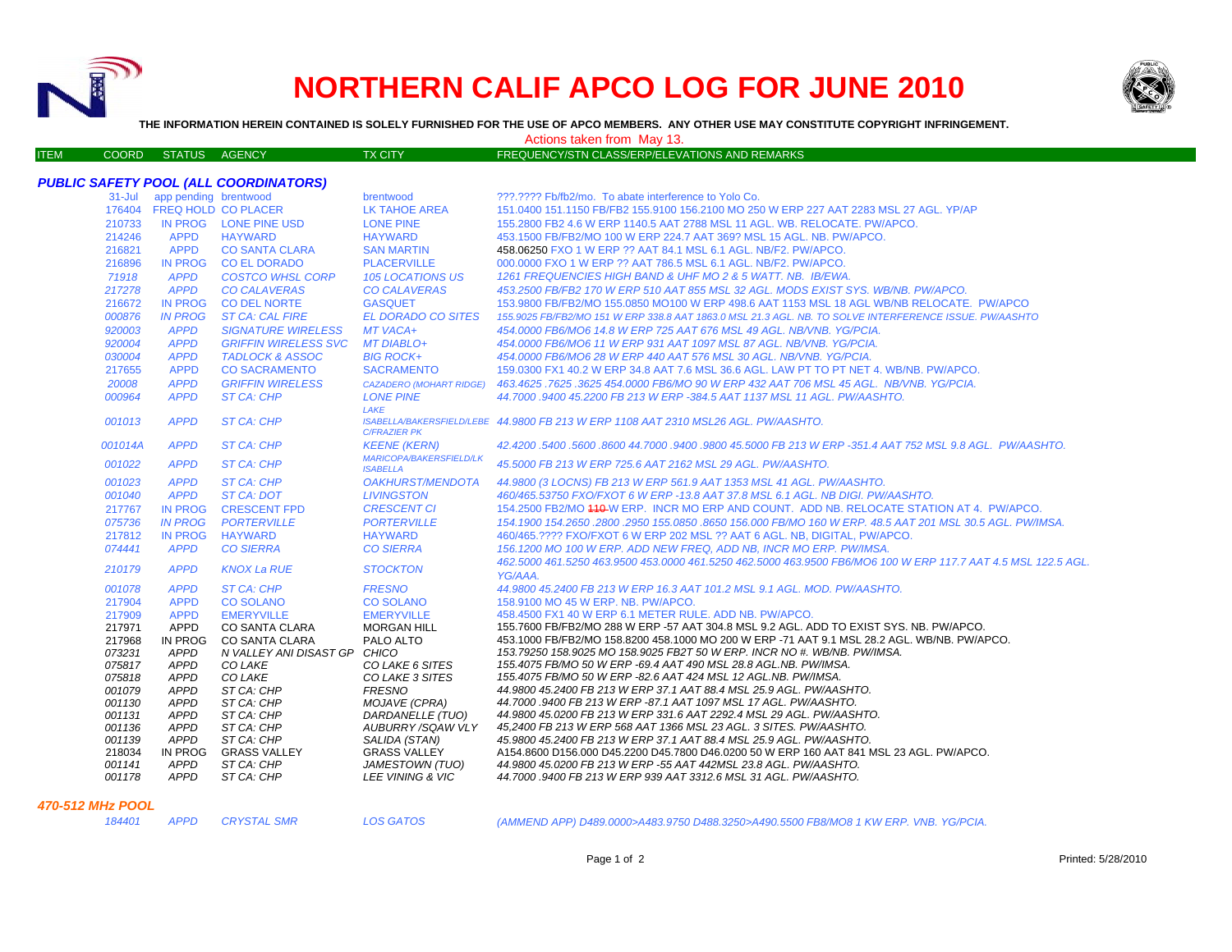

# **NORTHERN CALIF APCO LOG FOR JUNE 2010**



**THE INFORMATION HEREIN CONTAINED IS SOLELY FURNISHED FOR THE USE OF APCO MEMBERS. ANY OTHER USE MAY CONSTITUTE COPYRIGHT INFRINGEMENT.**

ITEM COORD STATUS AGENCY TX CITY FREQUENCY/STN CLASS/ERP/ELEVATIONS AND REMARKS

Actions taken from May 13.

# *PUBLIC SAFETY POOL (ALL COORDINATORS)*

|                  | 31-Jul app pending brentwood |                              | brentwood                                         | ???.???? Fb/fb2/mo. To abate interference to Yolo Co.                                                                                     |
|------------------|------------------------------|------------------------------|---------------------------------------------------|-------------------------------------------------------------------------------------------------------------------------------------------|
|                  | 176404 FREQ HOLD CO PLACER   |                              | <b>LK TAHOE AREA</b>                              | 151.0400 151.1150 FB/FB2 155.9100 156.2100 MO 250 W ERP 227 AAT 2283 MSL 27 AGL. YP/AP                                                    |
| 210733           |                              | IN PROG LONE PINE USD        | <b>LONE PINE</b>                                  | 155,2800 FB2 4.6 W ERP 1140.5 AAT 2788 MSL 11 AGL, WB, RELOCATE, PW/APCO,                                                                 |
| 214246           | <b>APPD</b>                  | <b>HAYWARD</b>               | <b>HAYWARD</b>                                    | 453.1500 FB/FB2/MO 100 W ERP 224.7 AAT 369? MSL 15 AGL, NB, PW/APCO,                                                                      |
| 216821           | <b>APPD</b>                  | <b>CO SANTA CLARA</b>        | <b>SAN MARTIN</b>                                 | 458.06250 FXO 1 W ERP ?? AAT 84.1 MSL 6.1 AGL, NB/F2, PW/APCO.                                                                            |
| 216896           | <b>IN PROG</b>               | <b>CO EL DORADO</b>          | <b>PLACERVILLE</b>                                | 000,0000 FXO 1 W ERP ?? AAT 786.5 MSL 6.1 AGL, NB/F2, PW/APCO.                                                                            |
| 71918            | <b>APPD</b>                  | <b>COSTCO WHSL CORP</b>      | 105 LOCATIONS US                                  | 1261 FREQUENCIES HIGH BAND & UHF MO 2 & 5 WATT. NB. IB/EWA.                                                                               |
| 217278           | <b>APPD</b>                  | <b>CO CALAVERAS</b>          | <b>CO CALAVERAS</b>                               | 453.2500 FB/FB2 170 W ERP 510 AAT 855 MSL 32 AGL. MODS EXIST SYS. WB/NB. PW/APCO.                                                         |
| 216672           | <b>IN PROG</b>               | <b>CO DEL NORTE</b>          | <b>GASQUET</b>                                    | 153.9800 FB/FB2/MO 155.0850 MO100 W ERP 498.6 AAT 1153 MSL 18 AGL WB/NB RELOCATE. PW/APCO                                                 |
| 000876           | <b>IN PROG</b>               | <b>ST CA: CAL FIRE</b>       | <b>EL DORADO CO SITES</b>                         | 155.9025 FB/FB2/MO 151 W ERP 338.8 AAT 1863.0 MSL 21.3 AGL. NB. TO SOLVE INTERFERENCE ISSUE. PW/AASHTO                                    |
| 920003           | <b>APPD</b>                  | <b>SIGNATURE WIRELESS</b>    | MT VACA+                                          | 454,0000 FB6/MO6 14.8 W ERP 725 AAT 676 MSL 49 AGL, NB/VNB, YG/PCIA.                                                                      |
| 920004           | <b>APPD</b>                  | <b>GRIFFIN WIRELESS SVC</b>  | <b>MT DIABLO+</b>                                 | 454.0000 FB6/MO6 11 W ERP 931 AAT 1097 MSL 87 AGL, NB/VNB, YG/PCIA.                                                                       |
| 030004           | <b>APPD</b>                  | <b>TADLOCK &amp; ASSOC</b>   | <b>BIG ROCK+</b>                                  | 454.0000 FB6/MO6 28 W ERP 440 AAT 576 MSL 30 AGL. NB/VNB. YG/PCIA.                                                                        |
| 217655           | <b>APPD</b>                  | <b>CO SACRAMENTO</b>         | <b>SACRAMENTO</b>                                 | 159,0300 FX1 40.2 W ERP 34.8 AAT 7.6 MSL 36.6 AGL, LAW PT TO PT NET 4, WB/NB, PW/APCO,                                                    |
| 20008            | <b>APPD</b>                  | <b>GRIFFIN WIRELESS</b>      | <b>CAZADERO (MOHART RIDGE)</b>                    | 463.4625 .7625 .3625 454.0000 FB6/MO 90 W ERP 432 AAT 706 MSL 45 AGL. NB/VNB. YG/PCIA.                                                    |
| 000964           | <b>APPD</b>                  | ST CA: CHP                   | <b>LONE PINE</b>                                  | 44,7000,9400 45,2200 FB 213 W ERP -384.5 AAT 1137 MSL 11 AGL, PW/AASHTO,                                                                  |
|                  |                              |                              | LAKE                                              |                                                                                                                                           |
| 001013           | <b>APPD</b>                  | <b>ST CA: CHP</b>            | <b>C/FRAZIER PK</b>                               | ISABELLA/BAKERSFIELD/LEBE 44.9800 FB 213 W ERP 1108 AAT 2310 MSL26 AGL. PW/AASHTO.                                                        |
| 001014A          | <b>APPD</b>                  | ST CA: CHP                   | <b>KEENE (KERN)</b>                               | 42.4200 .5400 .5600 .8600 44.7000 .9400 .9800 45.5000 FB 213 W ERP -351.4 AAT 752 MSL 9.8 AGL. PW/AASHTO.                                 |
| 001022           | <b>APPD</b>                  | ST CA: CHP                   | <b>MARICOPA/BAKERSFIELD/LK</b><br><b>ISABELLA</b> | 45.5000 FB 213 W ERP 725.6 AAT 2162 MSL 29 AGL. PW/AASHTO.                                                                                |
| 001023           | <b>APPD</b>                  | ST CA: CHP                   | <i><b>OAKHURST/MENDOTA</b></i>                    | 44.9800 (3 LOCNS) FB 213 W ERP 561.9 AAT 1353 MSL 41 AGL. PW/AASHTO.                                                                      |
| 001040           | <b>APPD</b>                  | ST CA: DOT                   | <b>LIVINGSTON</b>                                 | 460/465.53750 FXO/FXOT 6 W ERP -13.8 AAT 37.8 MSL 6.1 AGL, NB DIGI, PW/AASHTO,                                                            |
| 217767           | <b>IN PROG</b>               | <b>CRESCENT FPD</b>          | <b>CRESCENT CI</b>                                | 154.2500 FB2/MO 440 W ERP. INCR MO ERP AND COUNT. ADD NB. RELOCATE STATION AT 4. PW/APCO.                                                 |
| 075736           | <b>IN PROG</b>               | <b>PORTERVILLE</b>           | <b>PORTERVILLE</b>                                | 154.1900 154.2650 .2800 .2950 155.0850 .8650 156.000 FB/MO 160 W ERP. 48.5 AAT 201 MSL 30.5 AGL. PW/IMSA.                                 |
| 217812           | IN PROG                      | <b>HAYWARD</b>               | <b>HAYWARD</b>                                    | 460/465.???? FXO/FXOT 6 W ERP 202 MSL ?? AAT 6 AGL, NB, DIGITAL, PW/APCO,                                                                 |
| 074441           | <b>APPD</b>                  | <b>CO SIERRA</b>             | <b>CO SIERRA</b>                                  | 156.1200 MO 100 W ERP. ADD NEW FREQ. ADD NB. INCR MO ERP. PW/IMSA.                                                                        |
| 210179           | <b>APPD</b>                  | <b>KNOX La RUE</b>           | <b>STOCKTON</b>                                   | 462.5000 461.5250 463.9500 453.0000 461.5250 462.5000 463.9500 FB6/MO6 100 W ERP 117.7 AAT 4.5 MSL 122.5 AGL.<br>YG/AAA.                  |
| 001078           | <b>APPD</b>                  | ST CA: CHP                   | <b>FRESNO</b>                                     | 44,9800 45,2400 FB 213 W ERP 16.3 AAT 101.2 MSL 9.1 AGL, MOD, PW/AASHTO,                                                                  |
| 217904           | <b>APPD</b>                  | <b>CO SOLANO</b>             | <b>CO SOLANO</b>                                  | 158.9100 MO 45 W ERP. NB. PW/APCO.                                                                                                        |
| 217909           | <b>APPD</b>                  | <b>EMERYVILLE</b>            | <b>EMERYVILLE</b>                                 | 458,4500 FX1 40 W ERP 6.1 METER RULE, ADD NB, PW/APCO,                                                                                    |
| 217971           | <b>APPD</b>                  | CO SANTA CLARA               | <b>MORGAN HILL</b>                                | 155,7600 FB/FB2/MO 288 W ERP -57 AAT 304.8 MSL 9.2 AGL. ADD TO EXIST SYS. NB. PW/APCO.                                                    |
| 217968           | IN PROG                      | CO SANTA CLARA               | PALO ALTO                                         | 453.1000 FB/FB2/MO 158.8200 458.1000 MO 200 W ERP -71 AAT 9.1 MSL 28.2 AGL. WB/NB. PW/APCO.                                               |
| 073231           | <b>APPD</b>                  | N VALLEY ANI DISAST GP CHICO |                                                   | 153.79250 158.9025 MO 158.9025 FB2T 50 W ERP. INCR NO #, WB/NB. PW/IMSA.                                                                  |
| 075817           | <b>APPD</b>                  | CO LAKE                      | CO LAKE 6 SITES                                   | 155.4075 FB/MO 50 W ERP -69.4 AAT 490 MSL 28.8 AGL.NB. PW/IMSA.                                                                           |
| 075818           | <b>APPD</b>                  | CO LAKE                      | CO LAKE 3 SITES                                   | 155.4075 FB/MO 50 W ERP -82.6 AAT 424 MSL 12 AGL.NB. PW/IMSA.                                                                             |
| 001079           | <b>APPD</b>                  | ST CA: CHP                   | <b>FRESNO</b>                                     | 44.9800 45.2400 FB 213 W ERP 37.1 AAT 88.4 MSL 25.9 AGL. PW/AASHTO.                                                                       |
| 001130           | <b>APPD</b>                  | ST CA: CHP                   | MOJAVE (CPRA)                                     | 44.7000 .9400 FB 213 W ERP -87.1 AAT 1097 MSL 17 AGL. PW/AASHTO.                                                                          |
| 001131           | <b>APPD</b>                  | ST CA: CHP                   | DARDANELLE (TUO)                                  | 44.9800 45.0200 FB 213 W ERP 331.6 AAT 2292.4 MSL 29 AGL. PW/AASHTO.<br>45,2400 FB 213 W ERP 568 AAT 1366 MSL 23 AGL. 3 SITES. PW/AASHTO. |
| 001136<br>001139 | <b>APPD</b><br><b>APPD</b>   | ST CA: CHP<br>ST CA: CHP     | <b>AUBURRY/SQAW VLY</b><br>SALIDA (STAN)          | 45.9800 45.2400 FB 213 W ERP 37.1 AAT 88.4 MSL 25.9 AGL. PW/AASHTO.                                                                       |
| 218034           | IN PROG                      | <b>GRASS VALLEY</b>          | <b>GRASS VALLEY</b>                               | A154.8600 D156.000 D45.2200 D45.7800 D46.0200 50 W ERP 160 AAT 841 MSL 23 AGL. PW/APCO.                                                   |
| 001141           | <b>APPD</b>                  | ST CA: CHP                   | JAMESTOWN (TUO)                                   | 44.9800 45.0200 FB 213 W ERP -55 AAT 442MSL 23.8 AGL. PW/AASHTO.                                                                          |
| 001178           | <b>APPD</b>                  | ST CA: CHP                   | LEE VINING & VIC                                  | 44,7000 .9400 FB 213 W ERP 939 AAT 3312.6 MSL 31 AGL, PW/AASHTO.                                                                          |
|                  |                              |                              |                                                   |                                                                                                                                           |

#### *470-512 MHz POOL*

| 184401 | <b>APPD</b> | C |
|--------|-------------|---|
|        |             |   |

*184401 APPD CRYSTAL SMR LOS GATOS*

*(AMMEND APP) D489.0000>A483.9750 D488.3250>A490.5500 FB8/MO8 1 KW ERP. VNB. YG/PCIA.*